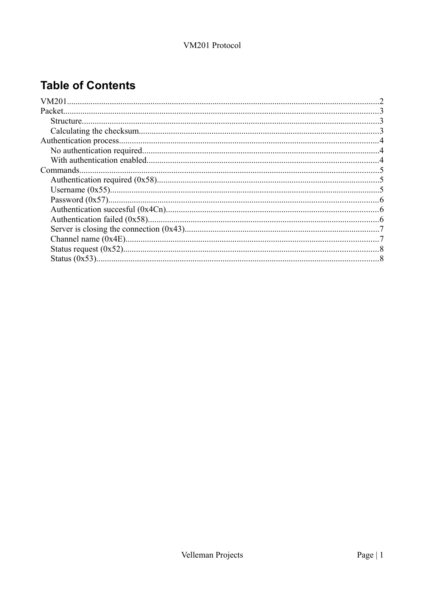## **Table of Contents**

| <b>Structure</b> |  |
|------------------|--|
|                  |  |
|                  |  |
|                  |  |
|                  |  |
| Commands.        |  |
|                  |  |
|                  |  |
|                  |  |
|                  |  |
|                  |  |
|                  |  |
|                  |  |
|                  |  |
|                  |  |
|                  |  |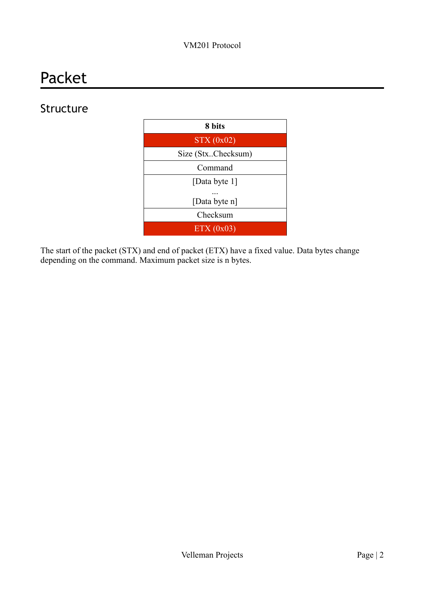# Packet

## Structure



The start of the packet (STX) and end of packet (ETX) have a fixed value. Data bytes change depending on the command. Maximum packet size is n bytes.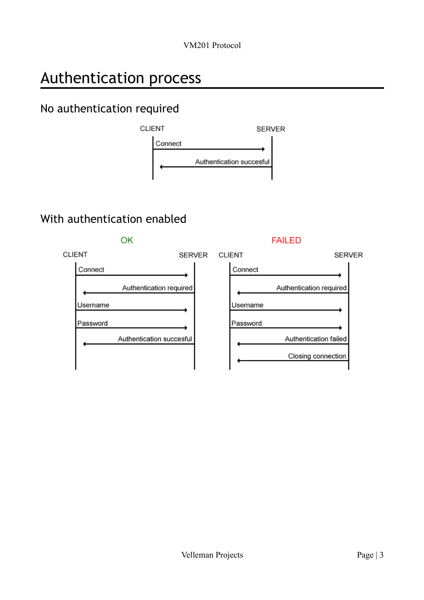# Authentication process

## No authentication required



## With authentication enabled

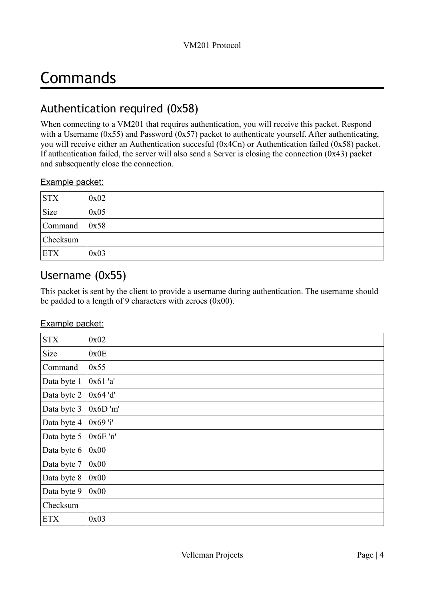# Commands

### Authentication required (0x58)

When connecting to a VM201 that requires authentication, you will receive this packet. Respond with a Username ( $0x55$ ) and Password ( $0x57$ ) packet to authenticate yourself. After authenticating, you will receive either an [Authentication succesful \(0x4Cn\)](#page-4-1) or [Authentication failed \(0x58\)](#page-4-0) packet. If authentication failed, the server will also send a Server is closing the connection  $(0x43)$  packet and subsequently close the connection.

#### Example packet:

| <b>STX</b> | 0x02 |
|------------|------|
| Size       | 0x05 |
| Command    | 0x58 |
| Checksum   |      |
| <b>ETX</b> | 0x03 |

### <span id="page-3-0"></span>Username (0x55)

This packet is sent by the client to provide a username during authentication. The username should be padded to a length of 9 characters with zeroes (0x00).

#### Example packet:

| <b>STX</b>  | 0x02       |
|-------------|------------|
| Size        | 0x0E       |
| Command     | 0x55       |
| Data byte 1 | 0x61 'a'   |
| Data byte 2 | $0x64'$ d' |
| Data byte 3 | 0x6D'm'    |
| Data byte 4 | 0x69 'i'   |
| Data byte 5 | $0x6E$ 'n' |
| Data byte 6 | 0x00       |
| Data byte 7 | 0x00       |
| Data byte 8 | 0x00       |
| Data byte 9 | 0x00       |
| Checksum    |            |
| <b>ETX</b>  | 0x03       |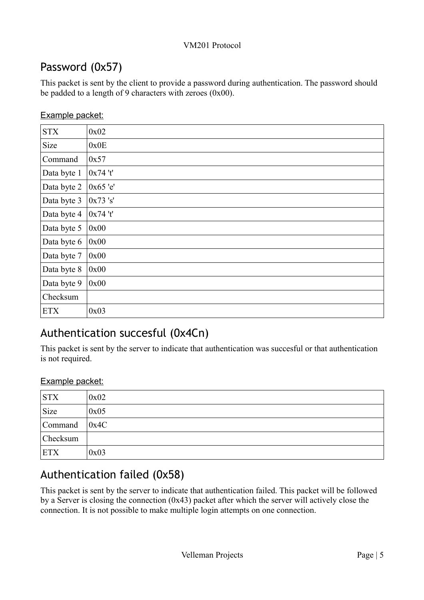## <span id="page-4-2"></span>Password (0x57)

This packet is sent by the client to provide a password during authentication. The password should be padded to a length of 9 characters with zeroes  $(0x00)$ .

|  | Example packet: |
|--|-----------------|
|  |                 |

| <b>STX</b>  | 0x02     |
|-------------|----------|
| Size        | 0x0E     |
| Command     | 0x57     |
| Data byte 1 | 0x74't'  |
| Data byte 2 | 0x65 'e' |
| Data byte 3 | 0x73 's' |
| Data byte 4 | 0x74't'  |
| Data byte 5 | 0x00     |
| Data byte 6 | 0x00     |
| Data byte 7 | 0x00     |
| Data byte 8 | 0x00     |
| Data byte 9 | 0x00     |
| Checksum    |          |
| <b>ETX</b>  | 0x03     |

## <span id="page-4-1"></span>Authentication succesful (0x4Cn)

This packet is sent by the server to indicate that authentication was succesful or that authentication is not required.

#### Example packet:

| <b>STX</b> | 0x02 |
|------------|------|
| Size       | 0x05 |
| Command    | 0x4C |
| Checksum   |      |
| <b>ETX</b> | 0x03 |

## <span id="page-4-0"></span>Authentication failed (0x58)

This packet is sent by the server to indicate that authentication failed. This packet will be followed by a [Server is closing the connection \(0x43\)](#page-5-0) packet after which the server will actively close the connection. It is not possible to make multiple login attempts on one connection.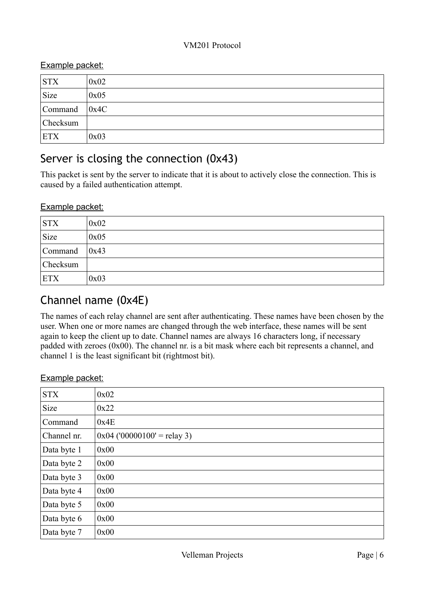#### Example packet:

| STX             | 0x02 |
|-----------------|------|
| Size            | 0x05 |
| Command         | 0x4C |
| <b>Checksum</b> |      |
| ETX             | 0x03 |

## <span id="page-5-0"></span>Server is closing the connection (0x43)

This packet is sent by the server to indicate that it is about to actively close the connection. This is caused by a failed authentication attempt.

#### Example packet:

| <b>STX</b> | 0x02 |
|------------|------|
| Size       | 0x05 |
| Command    | 0x43 |
| Checksum   |      |
| <b>ETX</b> | 0x03 |

## Channel name (0x4E)

The names of each relay channel are sent after authenticating. These names have been chosen by the user. When one or more names are changed through the web interface, these names will be sent again to keep the client up to date. Channel names are always 16 characters long, if necessary padded with zeroes (0x00). The channel nr. is a bit mask where each bit represents a channel, and channel 1 is the least significant bit (rightmost bit).

#### Example packet:

| <b>STX</b>  | 0x02                          |
|-------------|-------------------------------|
| Size        | 0x22                          |
| Command     | 0x4E                          |
| Channel nr. | $0x04$ ('00000100' = relay 3) |
| Data byte 1 | 0x00                          |
| Data byte 2 | 0x00                          |
| Data byte 3 | 0x00                          |
| Data byte 4 | 0x00                          |
| Data byte 5 | 0x00                          |
| Data byte 6 | 0x00                          |
| Data byte 7 | 0x00                          |